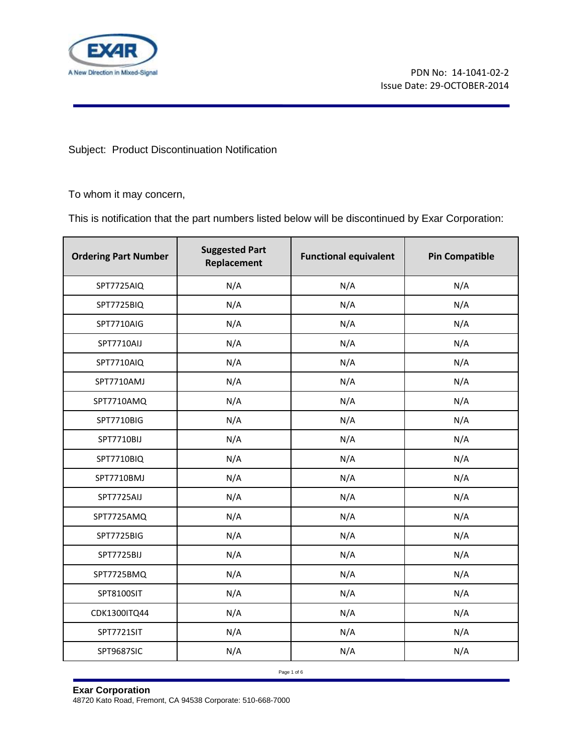

Subject: Product Discontinuation Notification

To whom it may concern,

This is notification that the part numbers listed below will be discontinued by Exar Corporation:

| <b>Ordering Part Number</b> | <b>Suggested Part</b><br>Replacement | <b>Functional equivalent</b> | <b>Pin Compatible</b> |
|-----------------------------|--------------------------------------|------------------------------|-----------------------|
| SPT7725AIQ                  | N/A                                  | N/A                          | N/A                   |
| SPT7725BIQ                  | N/A                                  | N/A                          | N/A                   |
| SPT7710AIG                  | N/A                                  | N/A                          | N/A                   |
| SPT7710AIJ                  | N/A                                  | N/A                          | N/A                   |
| SPT7710AIQ                  | N/A                                  | N/A                          | N/A                   |
| SPT7710AMJ                  | N/A                                  | N/A                          | N/A                   |
| SPT7710AMQ                  | N/A                                  | N/A                          | N/A                   |
| SPT7710BIG                  | N/A                                  | N/A                          | N/A                   |
| SPT7710BIJ                  | N/A                                  | N/A                          | N/A                   |
| SPT7710BIQ                  | N/A                                  | N/A                          | N/A                   |
| SPT7710BMJ                  | N/A                                  | N/A                          | N/A                   |
| SPT7725AIJ                  | N/A                                  | N/A                          | N/A                   |
| SPT7725AMQ                  | N/A                                  | N/A                          | N/A                   |
| SPT7725BIG                  | N/A                                  | N/A                          | N/A                   |
| SPT7725BIJ                  | N/A                                  | N/A                          | N/A                   |
| SPT7725BMQ                  | N/A                                  | N/A                          | N/A                   |
| SPT8100SIT                  | N/A                                  | N/A                          | N/A                   |
| CDK1300ITQ44                | N/A                                  | N/A                          | N/A                   |
| SPT7721SIT                  | N/A                                  | N/A                          | N/A                   |
| SPT9687SIC                  | N/A                                  | N/A                          | N/A                   |

Page 1 of 6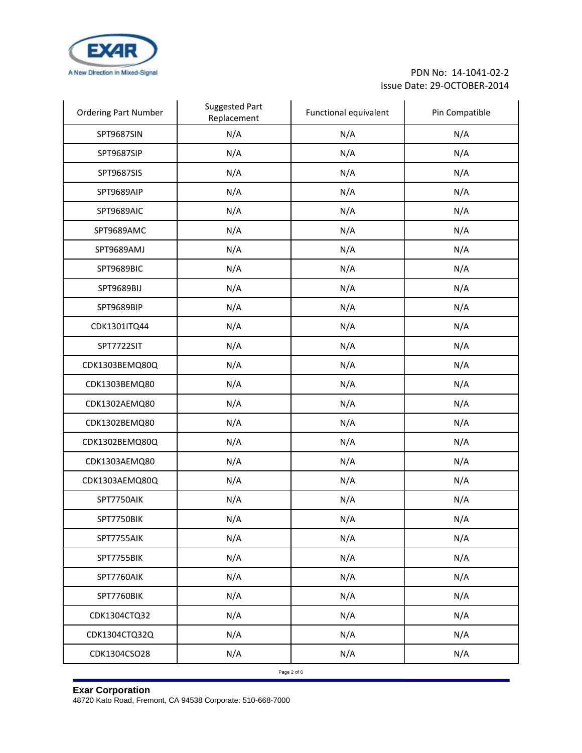

| <b>Ordering Part Number</b> | <b>Suggested Part</b><br>Replacement | Functional equivalent | Pin Compatible |
|-----------------------------|--------------------------------------|-----------------------|----------------|
| SPT9687SIN                  | N/A                                  | N/A                   | N/A            |
| SPT9687SIP                  | N/A                                  | N/A                   | N/A            |
| SPT9687SIS                  | N/A                                  | N/A                   | N/A            |
| SPT9689AIP                  | N/A                                  | N/A                   | N/A            |
| SPT9689AIC                  | N/A                                  | N/A                   | N/A            |
| SPT9689AMC                  | N/A                                  | N/A                   | N/A            |
| SPT9689AMJ                  | N/A                                  | N/A                   | N/A            |
| SPT9689BIC                  | N/A                                  | N/A                   | N/A            |
| SPT9689BIJ                  | N/A                                  | N/A                   | N/A            |
| SPT9689BIP                  | N/A                                  | N/A                   | N/A            |
| CDK1301ITQ44                | N/A                                  | N/A                   | N/A            |
| SPT7722SIT                  | N/A                                  | N/A                   | N/A            |
| CDK1303BEMQ80Q              | N/A                                  | N/A                   | N/A            |
| CDK1303BEMQ80               | N/A                                  | N/A                   | N/A            |
| CDK1302AEMQ80               | N/A                                  | N/A                   | N/A            |
| CDK1302BEMQ80               | N/A                                  | N/A                   | N/A            |
| CDK1302BEMQ80Q              | N/A                                  | N/A                   | N/A            |
| CDK1303AEMQ80               | N/A                                  | N/A                   | N/A            |
| CDK1303AEMQ80Q              | N/A                                  | N/A                   | N/A            |
| SPT7750AIK                  | N/A                                  | N/A                   | N/A            |
| SPT7750BIK                  | N/A                                  | N/A                   | N/A            |
| SPT7755AIK                  | N/A                                  | N/A                   | N/A            |
| SPT7755BIK                  | N/A                                  | N/A                   | N/A            |
| SPT7760AIK                  | N/A                                  | N/A                   | N/A            |
| SPT7760BIK                  | N/A                                  | N/A                   | N/A            |
| CDK1304CTQ32                | N/A                                  | N/A                   | N/A            |
| CDK1304CTQ32Q               | N/A                                  | N/A                   | N/A            |
| CDK1304CSO28                | N/A                                  | N/A                   | N/A            |
|                             |                                      | Page 2 of 6           |                |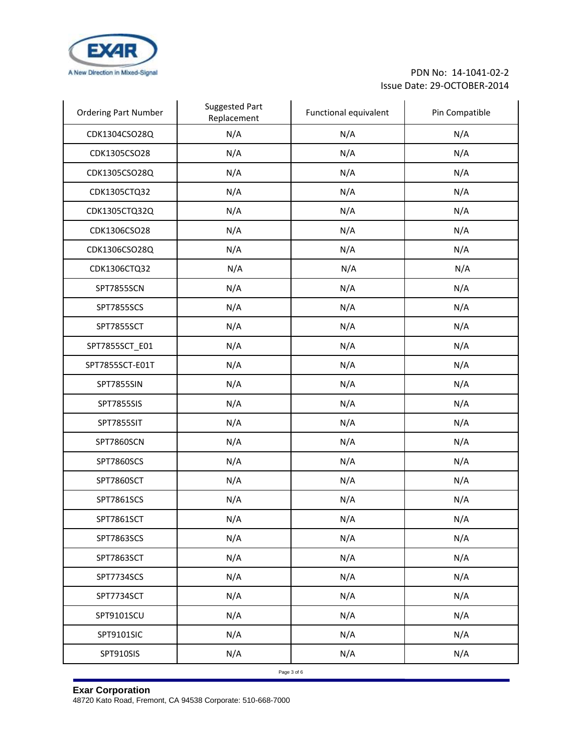

| <b>Ordering Part Number</b> | <b>Suggested Part</b><br>Replacement | Functional equivalent | Pin Compatible |
|-----------------------------|--------------------------------------|-----------------------|----------------|
| CDK1304CSO28Q               | N/A                                  | N/A                   | N/A            |
| CDK1305CSO28                | N/A                                  | N/A                   | N/A            |
| CDK1305CSO28Q               | N/A                                  | N/A                   | N/A            |
| CDK1305CTQ32                | N/A                                  | N/A                   | N/A            |
| CDK1305CTQ32Q               | N/A                                  | N/A                   | N/A            |
| CDK1306CSO28                | N/A                                  | N/A                   | N/A            |
| CDK1306CSO28Q               | N/A                                  | N/A                   | N/A            |
| CDK1306CTQ32                | N/A                                  | N/A                   | N/A            |
| SPT7855SCN                  | N/A                                  | N/A                   | N/A            |
| <b>SPT7855SCS</b>           | N/A                                  | N/A                   | N/A            |
| SPT7855SCT                  | N/A                                  | N/A                   | N/A            |
| SPT7855SCT_E01              | N/A                                  | N/A                   | N/A            |
| SPT7855SCT-E01T             | N/A                                  | N/A                   | N/A            |
| SPT7855SIN                  | N/A                                  | N/A                   | N/A            |
| SPT7855SIS                  | N/A                                  | N/A                   | N/A            |
| SPT7855SIT                  | N/A                                  | N/A                   | N/A            |
| SPT7860SCN                  | N/A                                  | N/A                   | N/A            |
| SPT7860SCS                  | N/A                                  | N/A                   | N/A            |
| SPT7860SCT                  | N/A                                  | N/A                   | N/A            |
| SPT7861SCS                  | N/A                                  | N/A                   | N/A            |
| SPT7861SCT                  | N/A                                  | N/A                   | N/A            |
| SPT7863SCS                  | N/A                                  | N/A                   | N/A            |
| SPT7863SCT                  | N/A                                  | N/A                   | N/A            |
| SPT7734SCS                  | N/A                                  | N/A                   | N/A            |
| SPT7734SCT                  | N/A                                  | N/A                   | N/A            |
| SPT9101SCU                  | N/A                                  | N/A                   | N/A            |
| SPT9101SIC                  | N/A                                  | N/A                   | N/A            |
| SPT910SIS                   | N/A                                  | N/A                   | N/A            |
|                             |                                      | Page 3 of 6           |                |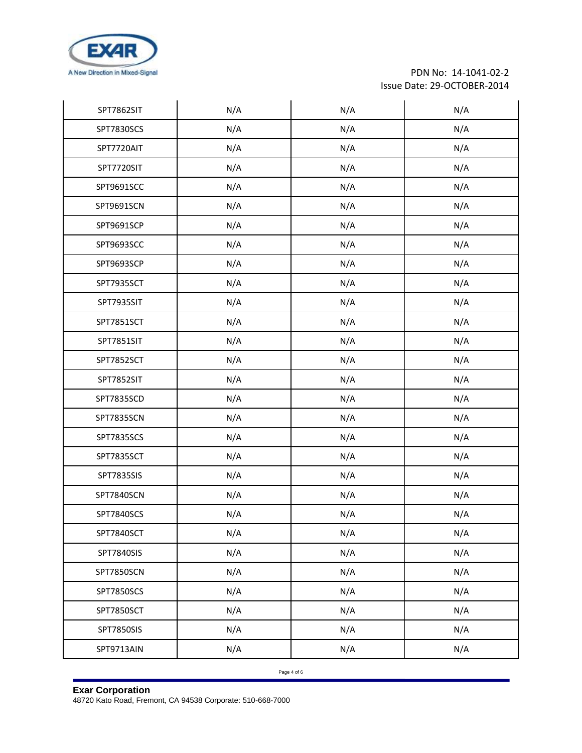

| SPT7862SIT | N/A | N/A | N/A |
|------------|-----|-----|-----|
| SPT7830SCS | N/A | N/A | N/A |
| SPT7720AIT | N/A | N/A | N/A |
| SPT7720SIT | N/A | N/A | N/A |
| SPT9691SCC | N/A | N/A | N/A |
| SPT9691SCN | N/A | N/A | N/A |
| SPT9691SCP | N/A | N/A | N/A |
| SPT9693SCC | N/A | N/A | N/A |
| SPT9693SCP | N/A | N/A | N/A |
| SPT7935SCT | N/A | N/A | N/A |
| SPT7935SIT | N/A | N/A | N/A |
| SPT7851SCT | N/A | N/A | N/A |
| SPT7851SIT | N/A | N/A | N/A |
| SPT7852SCT | N/A | N/A | N/A |
| SPT7852SIT | N/A | N/A | N/A |
| SPT7835SCD | N/A | N/A | N/A |
| SPT7835SCN | N/A | N/A | N/A |
| SPT7835SCS | N/A | N/A | N/A |
| SPT7835SCT | N/A | N/A | N/A |
| SPT7835SIS | N/A | N/A | N/A |
| SPT7840SCN | N/A | N/A | N/A |
| SPT7840SCS | N/A | N/A | N/A |
| SPT7840SCT | N/A | N/A | N/A |
| SPT7840SIS | N/A | N/A | N/A |
| SPT7850SCN | N/A | N/A | N/A |
| SPT7850SCS | N/A | N/A | N/A |
| SPT7850SCT | N/A | N/A | N/A |
| SPT7850SIS | N/A | N/A | N/A |
| SPT9713AIN | N/A | N/A | N/A |

Page 4 of 6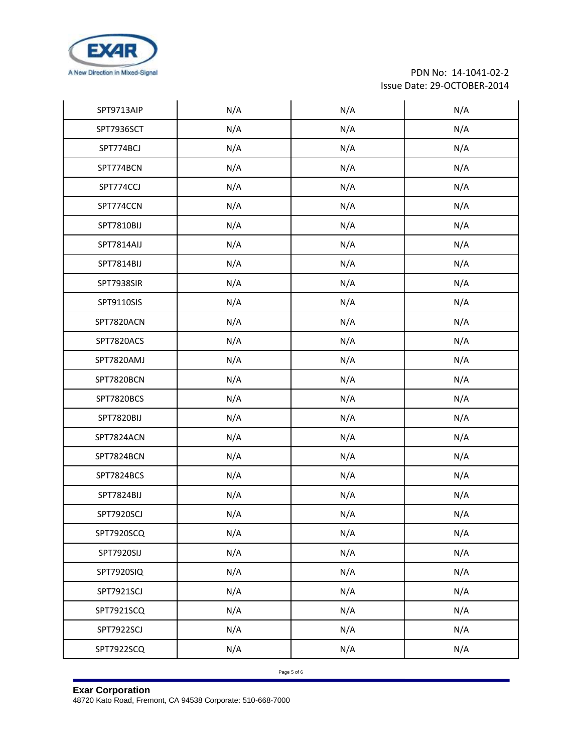

| SPT9713AIP | N/A | N/A | N/A |
|------------|-----|-----|-----|
| SPT7936SCT | N/A | N/A | N/A |
| SPT774BCJ  | N/A | N/A | N/A |
| SPT774BCN  | N/A | N/A | N/A |
| SPT774CCJ  | N/A | N/A | N/A |
| SPT774CCN  | N/A | N/A | N/A |
| SPT7810BIJ | N/A | N/A | N/A |
| SPT7814AIJ | N/A | N/A | N/A |
| SPT7814BIJ | N/A | N/A | N/A |
| SPT7938SIR | N/A | N/A | N/A |
| SPT9110SIS | N/A | N/A | N/A |
| SPT7820ACN | N/A | N/A | N/A |
| SPT7820ACS | N/A | N/A | N/A |
| SPT7820AMJ | N/A | N/A | N/A |
| SPT7820BCN | N/A | N/A | N/A |
| SPT7820BCS | N/A | N/A | N/A |
| SPT7820BIJ | N/A | N/A | N/A |
| SPT7824ACN | N/A | N/A | N/A |
| SPT7824BCN | N/A | N/A | N/A |
| SPT7824BCS | N/A | N/A | N/A |
| SPT7824BIJ | N/A | N/A | N/A |
| SPT7920SCJ | N/A | N/A | N/A |
| SPT7920SCQ | N/A | N/A | N/A |
| SPT7920SIJ | N/A | N/A | N/A |
| SPT7920SIQ | N/A | N/A | N/A |
| SPT7921SCJ | N/A | N/A | N/A |
| SPT7921SCQ | N/A | N/A | N/A |
| SPT7922SCJ | N/A | N/A | N/A |
| SPT7922SCQ | N/A | N/A | N/A |

Page 5 of 6